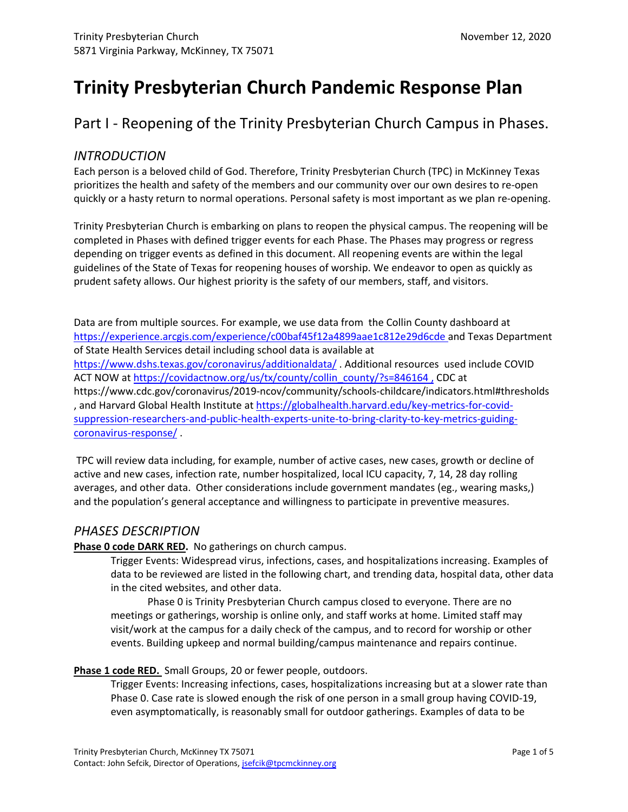# **Trinity Presbyterian Church Pandemic Response Plan**

Part I - Reopening of the Trinity Presbyterian Church Campus in Phases.

### *INTRODUCTION*

Each person is a beloved child of God. Therefore, Trinity Presbyterian Church (TPC) in McKinney Texas prioritizes the health and safety of the members and our community over our own desires to re-open quickly or a hasty return to normal operations. Personal safety is most important as we plan re-opening.

Trinity Presbyterian Church is embarking on plans to reopen the physical campus. The reopening will be completed in Phases with defined trigger events for each Phase. The Phases may progress or regress depending on trigger events as defined in this document. All reopening events are within the legal guidelines of the State of Texas for reopening houses of worship. We endeavor to open as quickly as prudent safety allows. Our highest priority is the safety of our members, staff, and visitors.

Data are from multiple sources. For example, we use data from the Collin County dashboard at https://experience.arcgis.com/experience/c00baf45f12a4899aae1c812e29d6cde and Texas Department of State Health Services detail including school data is available at https://www.dshs.texas.gov/coronavirus/additionaldata/ . Additional resources used include COVID ACT NOW at https://covidactnow.org/us/tx/county/collin\_county/?s=846164 , CDC at https://www.cdc.gov/coronavirus/2019-ncov/community/schools-childcare/indicators.html#thresholds , and Harvard Global Health Institute at https://globalhealth.harvard.edu/key-metrics-for-covidsuppression-researchers-and-public-health-experts-unite-to-bring-clarity-to-key-metrics-guidingcoronavirus-response/ .

 TPC will review data including, for example, number of active cases, new cases, growth or decline of active and new cases, infection rate, number hospitalized, local ICU capacity, 7, 14, 28 day rolling averages, and other data. Other considerations include government mandates (eg., wearing masks,) and the population's general acceptance and willingness to participate in preventive measures.

### *PHASES DESCRIPTION*

Phase 0 code DARK RED. No gatherings on church campus.

Trigger Events: Widespread virus, infections, cases, and hospitalizations increasing. Examples of data to be reviewed are listed in the following chart, and trending data, hospital data, other data in the cited websites, and other data.

Phase 0 is Trinity Presbyterian Church campus closed to everyone. There are no meetings or gatherings, worship is online only, and staff works at home. Limited staff may visit/work at the campus for a daily check of the campus, and to record for worship or other events. Building upkeep and normal building/campus maintenance and repairs continue.

### **Phase 1 code RED.** Small Groups, 20 or fewer people, outdoors.

Trigger Events: Increasing infections, cases, hospitalizations increasing but at a slower rate than Phase 0. Case rate is slowed enough the risk of one person in a small group having COVID-19, even asymptomatically, is reasonably small for outdoor gatherings. Examples of data to be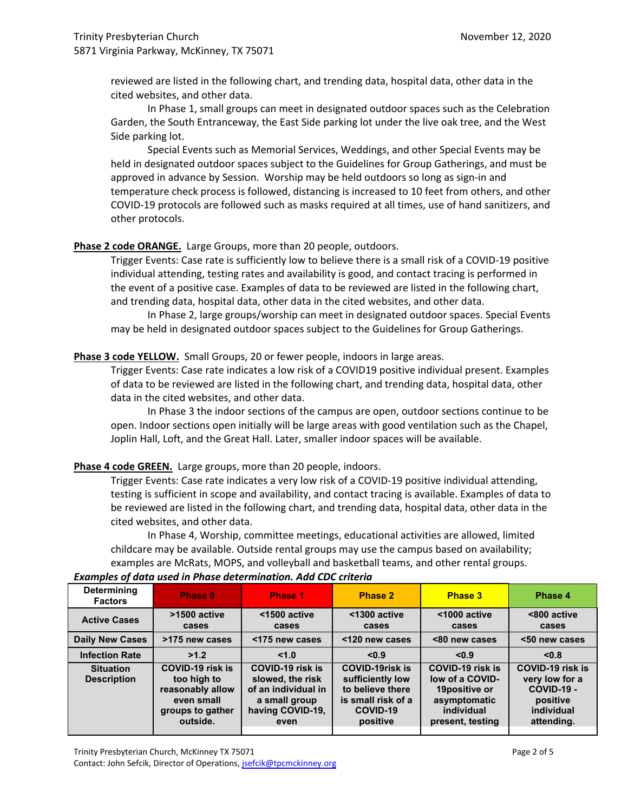reviewed are listed in the following chart, and trending data, hospital data, other data in the cited websites, and other data.

In Phase 1, small groups can meet in designated outdoor spaces such as the Celebration Garden, the South Entranceway, the East Side parking lot under the live oak tree, and the West Side parking lot.

Special Events such as Memorial Services, Weddings, and other Special Events may be held in designated outdoor spaces subject to the Guidelines for Group Gatherings, and must be approved in advance by Session. Worship may be held outdoors so long as sign-in and temperature check process is followed, distancing is increased to 10 feet from others, and other COVID-19 protocols are followed such as masks required at all times, use of hand sanitizers, and other protocols.

#### Phase 2 code ORANGE. Large Groups, more than 20 people, outdoors.

Trigger Events: Case rate is sufficiently low to believe there is a small risk of a COVID-19 positive individual attending, testing rates and availability is good, and contact tracing is performed in the event of a positive case. Examples of data to be reviewed are listed in the following chart, and trending data, hospital data, other data in the cited websites, and other data.

In Phase 2, large groups/worship can meet in designated outdoor spaces. Special Events may be held in designated outdoor spaces subject to the Guidelines for Group Gatherings.

#### **Phase 3 code YELLOW.** Small Groups, 20 or fewer people, indoors in large areas.

Trigger Events: Case rate indicates a low risk of a COVID19 positive individual present. Examples of data to be reviewed are listed in the following chart, and trending data, hospital data, other data in the cited websites, and other data.

In Phase 3 the indoor sections of the campus are open, outdoor sections continue to be open. Indoor sections open initially will be large areas with good ventilation such as the Chapel, Joplin Hall, Loft, and the Great Hall. Later, smaller indoor spaces will be available.

#### Phase 4 code GREEN. Large groups, more than 20 people, indoors.

Trigger Events: Case rate indicates a very low risk of a COVID-19 positive individual attending, testing is sufficient in scope and availability, and contact tracing is available. Examples of data to be reviewed are listed in the following chart, and trending data, hospital data, other data in the cited websites, and other data.

In Phase 4, Worship, committee meetings, educational activities are allowed, limited childcare may be available. Outside rental groups may use the campus based on availability; examples are McRats, MOPS, and volleyball and basketball teams, and other rental groups.

| <b>Determining</b><br><b>Factors</b>   | Phase 0                                                                                           | Phase 1                                                                                                         | <b>Phase 2</b>                                                                                               | <b>Phase 3</b>                                                                                         | Phase 4                                                                                         |
|----------------------------------------|---------------------------------------------------------------------------------------------------|-----------------------------------------------------------------------------------------------------------------|--------------------------------------------------------------------------------------------------------------|--------------------------------------------------------------------------------------------------------|-------------------------------------------------------------------------------------------------|
| <b>Active Cases</b>                    | >1500 active<br>cases                                                                             | <1500 active<br>cases                                                                                           | <1300 active<br>cases                                                                                        | <1000 active<br>cases                                                                                  | <800 active<br>cases                                                                            |
| <b>Daily New Cases</b>                 | >175 new cases                                                                                    | <175 new cases                                                                                                  | <120 new cases                                                                                               | <80 new cases                                                                                          | <50 new cases                                                                                   |
| <b>Infection Rate</b>                  | >1.2                                                                                              | < 1.0                                                                                                           | < 0.9                                                                                                        | < 0.9                                                                                                  | < 0.8                                                                                           |
| <b>Situation</b><br><b>Description</b> | COVID-19 risk is<br>too high to<br>reasonably allow<br>even small<br>groups to gather<br>outside. | <b>COVID-19 risk is</b><br>slowed, the risk<br>of an individual in<br>a small group<br>having COVID-19,<br>even | <b>COVID-19risk is</b><br>sufficiently low<br>to believe there<br>is small risk of a<br>COVID-19<br>positive | COVID-19 risk is<br>low of a COVID-<br>19positive or<br>asymptomatic<br>individual<br>present, testing | COVID-19 risk is<br>very low for a<br><b>COVID-19 -</b><br>positive<br>individual<br>attending. |

#### *Examples of data used in Phase determination. Add CDC criteria*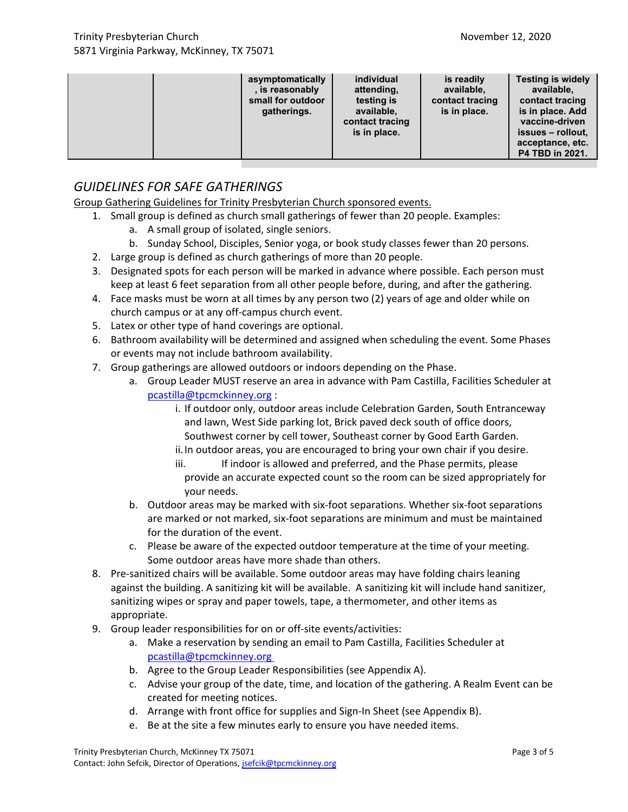|  | asymptomatically<br>, is reasonably<br>small for outdoor<br>gatherings. | individual<br>attending,<br>testing is<br>available,<br>contact tracing<br>is in place. | is readily<br>available,<br>contact tracing<br>is in place. | <b>Testing is widely</b><br>available,<br>contact tracing<br>is in place. Add<br>vaccine-driven<br>issues – rollout.<br>acceptance, etc.<br>P4 TBD in 2021. |  |
|--|-------------------------------------------------------------------------|-----------------------------------------------------------------------------------------|-------------------------------------------------------------|-------------------------------------------------------------------------------------------------------------------------------------------------------------|--|
|--|-------------------------------------------------------------------------|-----------------------------------------------------------------------------------------|-------------------------------------------------------------|-------------------------------------------------------------------------------------------------------------------------------------------------------------|--|

## *GUIDELINES FOR SAFE GATHERINGS*

Group Gathering Guidelines for Trinity Presbyterian Church sponsored events.

- 1. Small group is defined as church small gatherings of fewer than 20 people. Examples:
	- a. A small group of isolated, single seniors.
	- b. Sunday School, Disciples, Senior yoga, or book study classes fewer than 20 persons.
- 2. Large group is defined as church gatherings of more than 20 people.
- 3. Designated spots for each person will be marked in advance where possible. Each person must keep at least 6 feet separation from all other people before, during, and after the gathering.
- 4. Face masks must be worn at all times by any person two (2) years of age and older while on church campus or at any off-campus church event.
- 5. Latex or other type of hand coverings are optional.
- 6. Bathroom availability will be determined and assigned when scheduling the event. Some Phases or events may not include bathroom availability.
- 7. Group gatherings are allowed outdoors or indoors depending on the Phase.
	- a. Group Leader MUST reserve an area in advance with Pam Castilla, Facilities Scheduler at pcastilla@tpcmckinney.org :
		- i. If outdoor only, outdoor areas include Celebration Garden, South Entranceway and lawn, West Side parking lot, Brick paved deck south of office doors, Southwest corner by cell tower, Southeast corner by Good Earth Garden.
		- ii.In outdoor areas, you are encouraged to bring your own chair if you desire.
		- iii. If indoor is allowed and preferred, and the Phase permits, please provide an accurate expected count so the room can be sized appropriately for your needs.
	- b. Outdoor areas may be marked with six-foot separations. Whether six-foot separations are marked or not marked, six-foot separations are minimum and must be maintained for the duration of the event.
	- c. Please be aware of the expected outdoor temperature at the time of your meeting. Some outdoor areas have more shade than others.
- 8. Pre-sanitized chairs will be available. Some outdoor areas may have folding chairs leaning against the building. A sanitizing kit will be available. A sanitizing kit will include hand sanitizer, sanitizing wipes or spray and paper towels, tape, a thermometer, and other items as appropriate.
- 9. Group leader responsibilities for on or off-site events/activities:
	- a. Make a reservation by sending an email to Pam Castilla, Facilities Scheduler at pcastilla@tpcmckinney.org
	- b. Agree to the Group Leader Responsibilities (see Appendix A).
	- c. Advise your group of the date, time, and location of the gathering. A Realm Event can be created for meeting notices.
	- d. Arrange with front office for supplies and Sign-In Sheet (see Appendix B).
	- e. Be at the site a few minutes early to ensure you have needed items.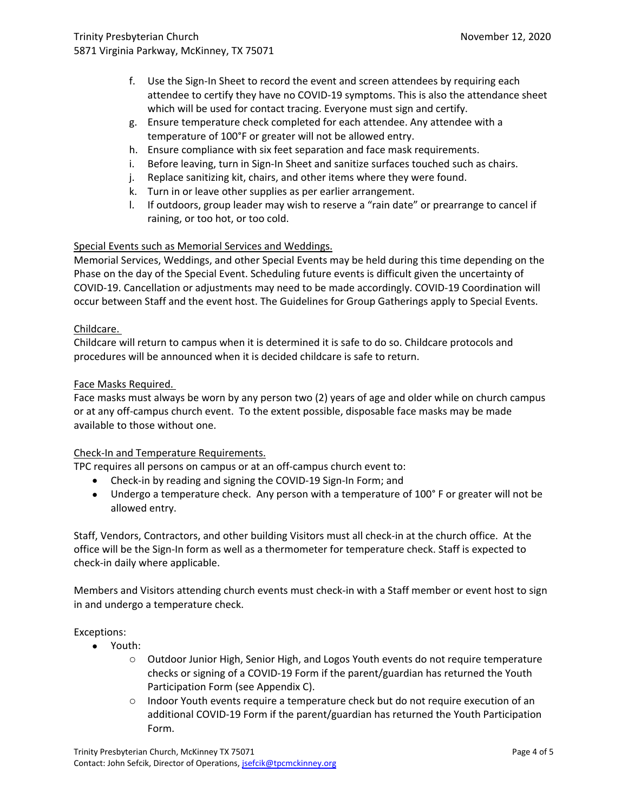- f. Use the Sign-In Sheet to record the event and screen attendees by requiring each attendee to certify they have no COVID-19 symptoms. This is also the attendance sheet which will be used for contact tracing. Everyone must sign and certify.
- g. Ensure temperature check completed for each attendee. Any attendee with a temperature of 100°F or greater will not be allowed entry.
- h. Ensure compliance with six feet separation and face mask requirements.
- i. Before leaving, turn in Sign-In Sheet and sanitize surfaces touched such as chairs.
- j. Replace sanitizing kit, chairs, and other items where they were found.
- k. Turn in or leave other supplies as per earlier arrangement.
- l. If outdoors, group leader may wish to reserve a "rain date" or prearrange to cancel if raining, or too hot, or too cold.

### Special Events such as Memorial Services and Weddings.

Memorial Services, Weddings, and other Special Events may be held during this time depending on the Phase on the day of the Special Event. Scheduling future events is difficult given the uncertainty of COVID-19. Cancellation or adjustments may need to be made accordingly. COVID-19 Coordination will occur between Staff and the event host. The Guidelines for Group Gatherings apply to Special Events.

#### Childcare.

Childcare will return to campus when it is determined it is safe to do so. Childcare protocols and procedures will be announced when it is decided childcare is safe to return.

### Face Masks Required.

Face masks must always be worn by any person two (2) years of age and older while on church campus or at any off-campus church event. To the extent possible, disposable face masks may be made available to those without one.

### Check-In and Temperature Requirements.

TPC requires all persons on campus or at an off-campus church event to:

- Check-in by reading and signing the COVID-19 Sign-In Form; and
- Undergo a temperature check. Any person with a temperature of 100° F or greater will not be allowed entry.

Staff, Vendors, Contractors, and other building Visitors must all check-in at the church office. At the office will be the Sign-In form as well as a thermometer for temperature check. Staff is expected to check-in daily where applicable.

Members and Visitors attending church events must check-in with a Staff member or event host to sign in and undergo a temperature check.

Exceptions:

- Youth:
	- o Outdoor Junior High, Senior High, and Logos Youth events do not require temperature checks or signing of a COVID-19 Form if the parent/guardian has returned the Youth Participation Form (see Appendix C).
	- $\circ$  Indoor Youth events require a temperature check but do not require execution of an additional COVID-19 Form if the parent/guardian has returned the Youth Participation Form.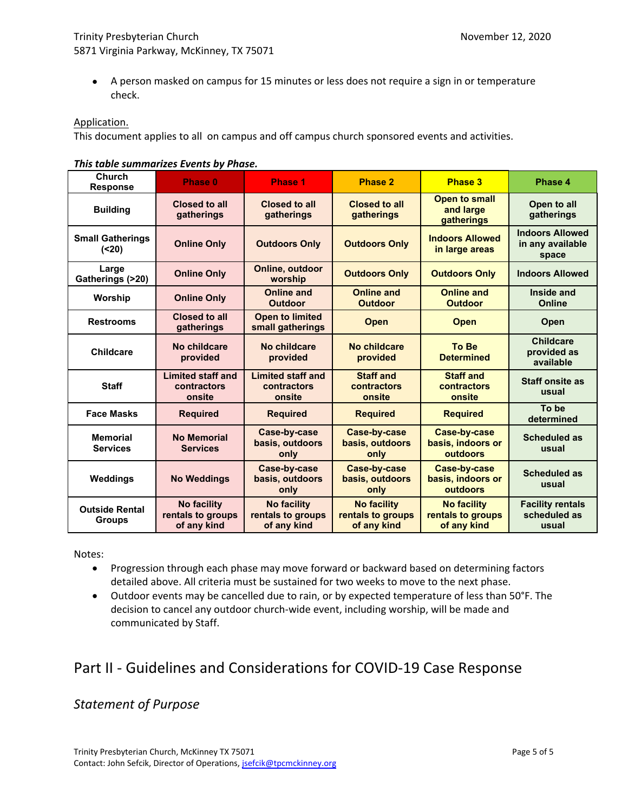A person masked on campus for 15 minutes or less does not require a sign in or temperature check.

#### Application.

This document applies to all on campus and off campus church sponsored events and activities.

### *This table summarizes Events by Phase.*

| Church<br><b>Response</b>              | Phase 0                                                | <b>Phase 1</b>                                         | <b>Phase 2</b>                                         | <b>Phase 3</b>                                         | Phase 4                                             |
|----------------------------------------|--------------------------------------------------------|--------------------------------------------------------|--------------------------------------------------------|--------------------------------------------------------|-----------------------------------------------------|
| <b>Building</b>                        | <b>Closed to all</b><br>gatherings                     | <b>Closed to all</b><br>gatherings                     | Closed to all<br>gatherings                            | <b>Open to small</b><br>and large<br>gatherings        | Open to all<br>gatherings                           |
| <b>Small Gatherings</b><br>(20)        | <b>Online Only</b>                                     | <b>Outdoors Only</b>                                   | <b>Outdoors Only</b>                                   | <b>Indoors Allowed</b><br>in large areas               | <b>Indoors Allowed</b><br>in any available<br>space |
| Large<br>Gatherings (>20)              | <b>Online Only</b>                                     | Online, outdoor<br>worship                             | <b>Outdoors Only</b>                                   | <b>Outdoors Only</b>                                   | <b>Indoors Allowed</b>                              |
| Worship                                | <b>Online Only</b>                                     | <b>Online and</b><br><b>Outdoor</b>                    | <b>Online and</b><br><b>Outdoor</b>                    | <b>Online and</b><br><b>Outdoor</b>                    | Inside and<br>Online                                |
| <b>Restrooms</b>                       | <b>Closed to all</b><br>gatherings                     | <b>Open to limited</b><br>small gatherings             | <b>Open</b>                                            | <b>Open</b>                                            | Open                                                |
| <b>Childcare</b>                       | No childcare<br>provided                               | No childcare<br>provided                               | No childcare<br>provided                               | <b>To Be</b><br><b>Determined</b>                      | <b>Childcare</b><br>provided as<br>available        |
| <b>Staff</b>                           | <b>Limited staff and</b><br>contractors<br>onsite      | <b>Limited staff and</b><br>contractors<br>onsite      | <b>Staff and</b><br>contractors<br>onsite              | <b>Staff and</b><br>contractors<br>onsite              | <b>Staff onsite as</b><br>usual                     |
| <b>Face Masks</b>                      | <b>Required</b>                                        | <b>Required</b>                                        | <b>Required</b>                                        | <b>Required</b>                                        | To be<br>determined                                 |
| <b>Memorial</b><br><b>Services</b>     | No Memorial<br><b>Services</b>                         | Case-by-case<br>basis, outdoors<br>only                | Case-by-case<br>basis, outdoors<br>only                | <b>Case-by-case</b><br>basis, indoors or<br>outdoors   | <b>Scheduled as</b><br>usual                        |
| Weddings                               | <b>No Weddings</b>                                     | Case-by-case<br>basis, outdoors<br>only                | <b>Case-by-case</b><br>basis, outdoors<br>only         | <b>Case-by-case</b><br>basis, indoors or<br>outdoors   | <b>Scheduled as</b><br>usual                        |
| <b>Outside Rental</b><br><b>Groups</b> | <b>No facility</b><br>rentals to groups<br>of any kind | <b>No facility</b><br>rentals to groups<br>of any kind | <b>No facility</b><br>rentals to groups<br>of any kind | <b>No facility</b><br>rentals to groups<br>of any kind | <b>Facility rentals</b><br>scheduled as<br>usual    |

Notes:

- Progression through each phase may move forward or backward based on determining factors detailed above. All criteria must be sustained for two weeks to move to the next phase.
- Outdoor events may be cancelled due to rain, or by expected temperature of less than 50°F. The decision to cancel any outdoor church-wide event, including worship, will be made and communicated by Staff.

# Part II - Guidelines and Considerations for COVID-19 Case Response

### *Statement of Purpose*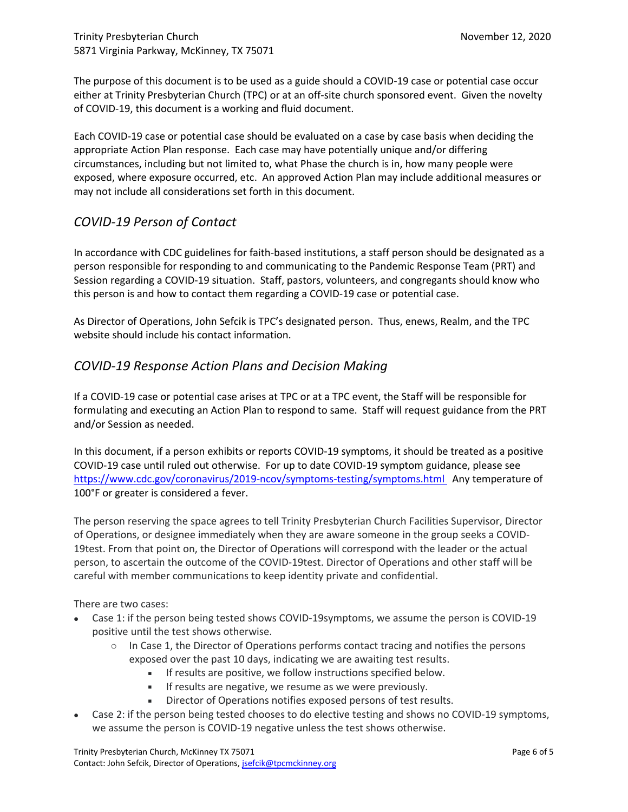The purpose of this document is to be used as a guide should a COVID-19 case or potential case occur either at Trinity Presbyterian Church (TPC) or at an off-site church sponsored event. Given the novelty of COVID-19, this document is a working and fluid document.

Each COVID-19 case or potential case should be evaluated on a case by case basis when deciding the appropriate Action Plan response. Each case may have potentially unique and/or differing circumstances, including but not limited to, what Phase the church is in, how many people were exposed, where exposure occurred, etc. An approved Action Plan may include additional measures or may not include all considerations set forth in this document.

## *COVID-19 Person of Contact*

In accordance with CDC guidelines for faith-based institutions, a staff person should be designated as a person responsible for responding to and communicating to the Pandemic Response Team (PRT) and Session regarding a COVID-19 situation. Staff, pastors, volunteers, and congregants should know who this person is and how to contact them regarding a COVID-19 case or potential case.

As Director of Operations, John Sefcik is TPC's designated person. Thus, enews, Realm, and the TPC website should include his contact information.

## *COVID-19 Response Action Plans and Decision Making*

If a COVID-19 case or potential case arises at TPC or at a TPC event, the Staff will be responsible for formulating and executing an Action Plan to respond to same. Staff will request guidance from the PRT and/or Session as needed.

In this document, if a person exhibits or reports COVID-19 symptoms, it should be treated as a positive COVID-19 case until ruled out otherwise. For up to date COVID-19 symptom guidance, please see https://www.cdc.gov/coronavirus/2019-ncov/symptoms-testing/symptoms.html Any temperature of 100°F or greater is considered a fever.

The person reserving the space agrees to tell Trinity Presbyterian Church Facilities Supervisor, Director of Operations, or designee immediately when they are aware someone in the group seeks a COVID-19test. From that point on, the Director of Operations will correspond with the leader or the actual person, to ascertain the outcome of the COVID-19test. Director of Operations and other staff will be careful with member communications to keep identity private and confidential.

There are two cases:

- Case 1: if the person being tested shows COVID-19symptoms, we assume the person is COVID-19 positive until the test shows otherwise.
	- $\circ$  In Case 1, the Director of Operations performs contact tracing and notifies the persons exposed over the past 10 days, indicating we are awaiting test results.
		- **If results are positive, we follow instructions specified below.**
		- If results are negative, we resume as we were previously.
		- Director of Operations notifies exposed persons of test results.
- Case 2: if the person being tested chooses to do elective testing and shows no COVID-19 symptoms, we assume the person is COVID-19 negative unless the test shows otherwise.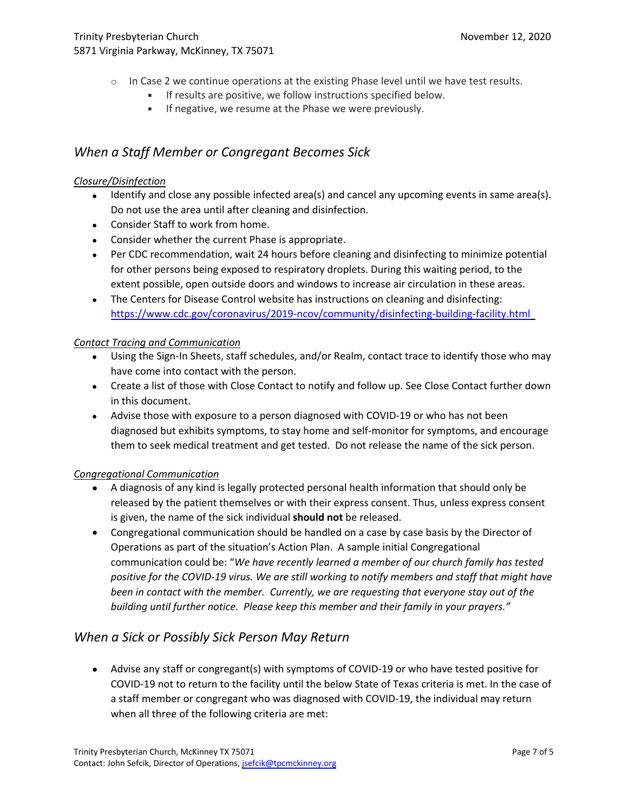- $\circ$  In Case 2 we continue operations at the existing Phase level until we have test results.
	- **IF results are positive, we follow instructions specified below.**
	- **If negative, we resume at the Phase we were previously.**

## *When a Staff Member or Congregant Becomes Sick*

### *Closure/Disinfection*

- Identify and close any possible infected area(s) and cancel any upcoming events in same area(s). Do not use the area until after cleaning and disinfection.
- Consider Staff to work from home.
- Consider whether the current Phase is appropriate.
- Per CDC recommendation, wait 24 hours before cleaning and disinfecting to minimize potential for other persons being exposed to respiratory droplets. During this waiting period, to the extent possible, open outside doors and windows to increase air circulation in these areas.
- The Centers for Disease Control website has instructions on cleaning and disinfecting: https://www.cdc.gov/coronavirus/2019-ncov/community/disinfecting-building-facility.html

### *Contact Tracing and Communication*

- Using the Sign-In Sheets, staff schedules, and/or Realm, contact trace to identify those who may have come into contact with the person.
- Create a list of those with Close Contact to notify and follow up. See Close Contact further down in this document.
- Advise those with exposure to a person diagnosed with COVID-19 or who has not been diagnosed but exhibits symptoms, to stay home and self-monitor for symptoms, and encourage them to seek medical treatment and get tested. Do not release the name of the sick person.

### *Congregational Communication*

- A diagnosis of any kind is legally protected personal health information that should only be released by the patient themselves or with their express consent. Thus, unless express consent is given, the name of the sick individual **should not** be released.
- Congregational communication should be handled on a case by case basis by the Director of Operations as part of the situation's Action Plan. A sample initial Congregational communication could be: "*We have recently learned a member of our church family has tested positive for the COVID-19 virus. We are still working to notify members and staff that might have been in contact with the member. Currently, we are requesting that everyone stay out of the building until further notice. Please keep this member and their family in your prayers."*

## *When a Sick or Possibly Sick Person May Return*

 Advise any staff or congregant(s) with symptoms of COVID-19 or who have tested positive for COVID-19 not to return to the facility until the below State of Texas criteria is met. In the case of a staff member or congregant who was diagnosed with COVID-19, the individual may return when all three of the following criteria are met: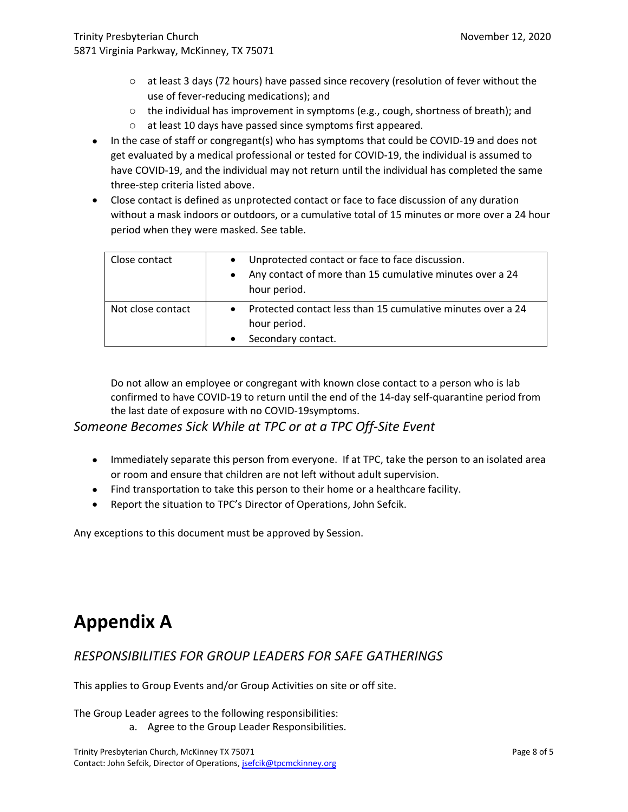- $\circ$  at least 3 days (72 hours) have passed since recovery (resolution of fever without the use of fever-reducing medications); and
- $\circ$  the individual has improvement in symptoms (e.g., cough, shortness of breath); and
- o at least 10 days have passed since symptoms first appeared.
- In the case of staff or congregant(s) who has symptoms that could be COVID-19 and does not get evaluated by a medical professional or tested for COVID-19, the individual is assumed to have COVID-19, and the individual may not return until the individual has completed the same three-step criteria listed above.
- Close contact is defined as unprotected contact or face to face discussion of any duration without a mask indoors or outdoors, or a cumulative total of 15 minutes or more over a 24 hour period when they were masked. See table.

| Close contact     | Unprotected contact or face to face discussion.<br>$\bullet$<br>Any contact of more than 15 cumulative minutes over a 24<br>hour period. |
|-------------------|------------------------------------------------------------------------------------------------------------------------------------------|
| Not close contact | Protected contact less than 15 cumulative minutes over a 24<br>hour period.<br>Secondary contact.                                        |

Do not allow an employee or congregant with known close contact to a person who is lab confirmed to have COVID-19 to return until the end of the 14-day self-quarantine period from the last date of exposure with no COVID-19symptoms.

### *Someone Becomes Sick While at TPC or at a TPC Off-Site Event*

- Immediately separate this person from everyone. If at TPC, take the person to an isolated area or room and ensure that children are not left without adult supervision.
- Find transportation to take this person to their home or a healthcare facility.
- Report the situation to TPC's Director of Operations, John Sefcik.

Any exceptions to this document must be approved by Session.

# **Appendix A**

## *RESPONSIBILITIES FOR GROUP LEADERS FOR SAFE GATHERINGS*

This applies to Group Events and/or Group Activities on site or off site.

The Group Leader agrees to the following responsibilities:

a. Agree to the Group Leader Responsibilities.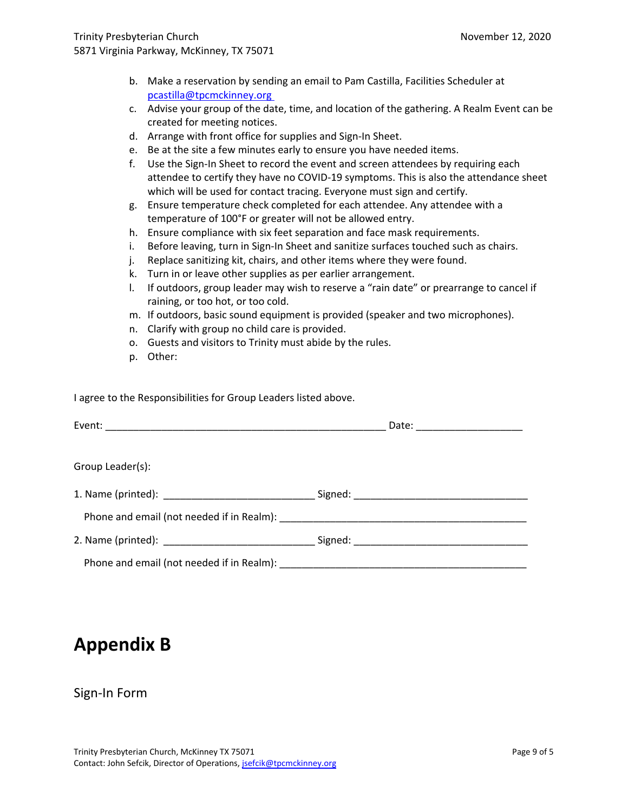- b. Make a reservation by sending an email to Pam Castilla, Facilities Scheduler at pcastilla@tpcmckinney.org
- c. Advise your group of the date, time, and location of the gathering. A Realm Event can be created for meeting notices.
- d. Arrange with front office for supplies and Sign-In Sheet.
- e. Be at the site a few minutes early to ensure you have needed items.
- f. Use the Sign-In Sheet to record the event and screen attendees by requiring each attendee to certify they have no COVID-19 symptoms. This is also the attendance sheet which will be used for contact tracing. Everyone must sign and certify.
- g. Ensure temperature check completed for each attendee. Any attendee with a temperature of 100°F or greater will not be allowed entry.
- h. Ensure compliance with six feet separation and face mask requirements.
- i. Before leaving, turn in Sign-In Sheet and sanitize surfaces touched such as chairs.
- j. Replace sanitizing kit, chairs, and other items where they were found.
- k. Turn in or leave other supplies as per earlier arrangement.
- l. If outdoors, group leader may wish to reserve a "rain date" or prearrange to cancel if raining, or too hot, or too cold.
- m. If outdoors, basic sound equipment is provided (speaker and two microphones).
- n. Clarify with group no child care is provided.
- o. Guests and visitors to Trinity must abide by the rules.
- p. Other:

I agree to the Responsibilities for Group Leaders listed above.

|                  | Date: __________________________ |  |
|------------------|----------------------------------|--|
|                  |                                  |  |
| Group Leader(s): |                                  |  |
|                  |                                  |  |
|                  |                                  |  |
|                  |                                  |  |
|                  |                                  |  |

# **Appendix B**

### Sign-In Form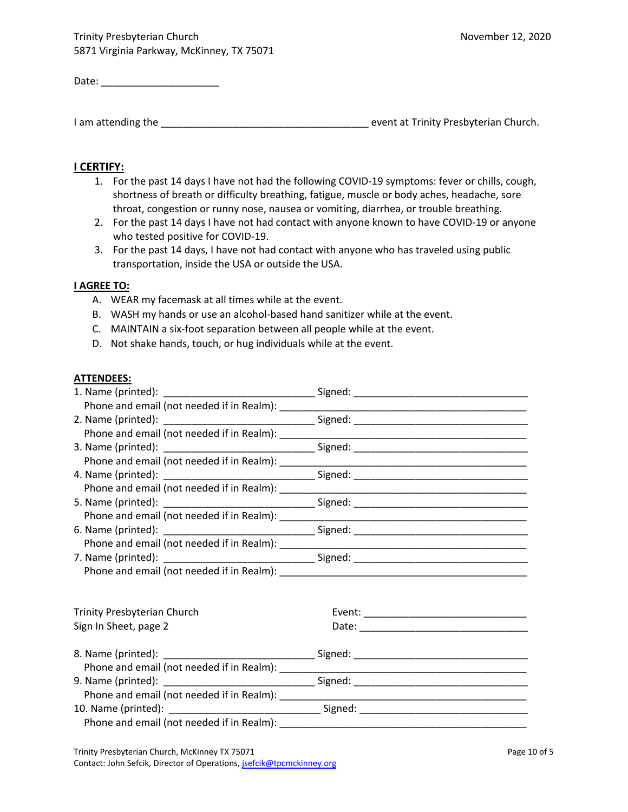| Date: |  |
|-------|--|
|       |  |

I am attending the \_\_\_\_\_\_\_\_\_\_\_\_\_\_\_\_\_\_\_\_\_\_\_\_\_\_\_\_\_\_\_\_\_\_\_\_\_ event at Trinity Presbyterian Church.

### **I CERTIFY:**

- 1. For the past 14 days I have not had the following COVID-19 symptoms: fever or chills, cough, shortness of breath or difficulty breathing, fatigue, muscle or body aches, headache, sore throat, congestion or runny nose, nausea or vomiting, diarrhea, or trouble breathing.
- 2. For the past 14 days I have not had contact with anyone known to have COVID-19 or anyone who tested positive for COVID-19.
- 3. For the past 14 days, I have not had contact with anyone who has traveled using public transportation, inside the USA or outside the USA.

#### **I AGREE TO:**

- A. WEAR my facemask at all times while at the event.
- B. WASH my hands or use an alcohol-based hand sanitizer while at the event.
- C. MAINTAIN a six-foot separation between all people while at the event.
- D. Not shake hands, touch, or hug individuals while at the event.

#### **ATTENDEES:**

| Trinity Presbyterian Church |  |
|-----------------------------|--|
| Sign In Sheet, page 2       |  |
|                             |  |
|                             |  |
|                             |  |
|                             |  |
|                             |  |
|                             |  |
|                             |  |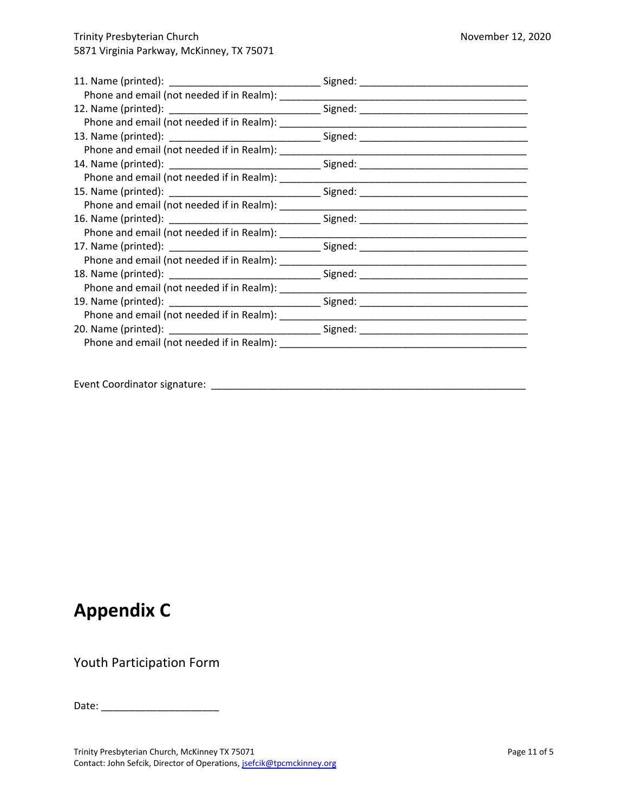| Event Coordinator signature: |
|------------------------------|
|                              |

# **Appendix C**

Youth Participation Form

Date: \_\_\_\_\_\_\_\_\_\_\_\_\_\_\_\_\_\_\_\_\_